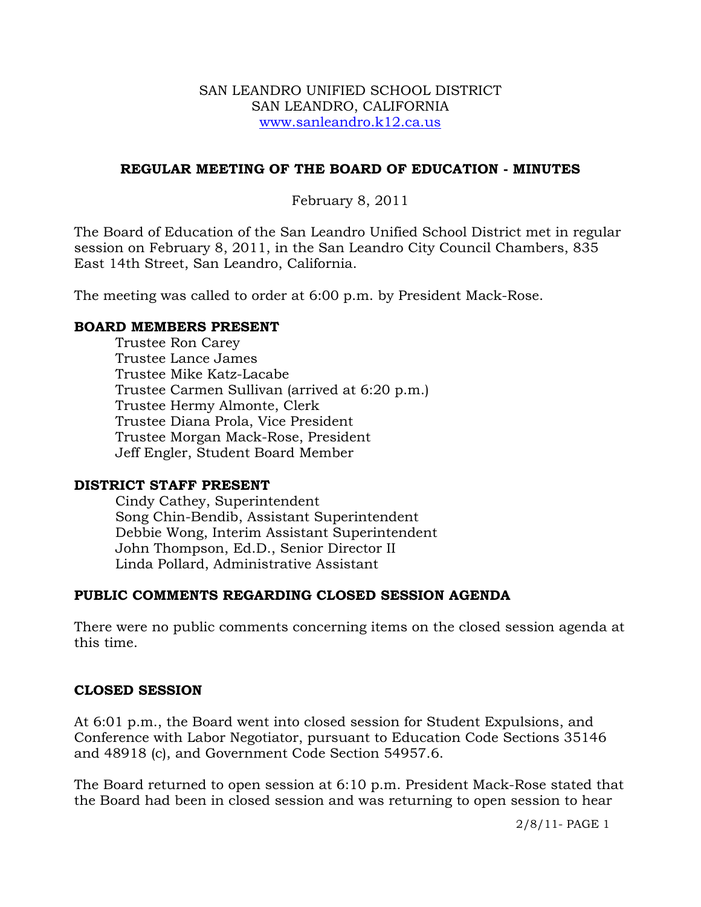#### SAN LEANDRO UNIFIED SCHOOL DISTRICT SAN LEANDRO, CALIFORNIA www.sanleandro.k12.ca.us

## **REGULAR MEETING OF THE BOARD OF EDUCATION - MINUTES**

# February 8, 2011

The Board of Education of the San Leandro Unified School District met in regular session on February 8, 2011, in the San Leandro City Council Chambers, 835 East 14th Street, San Leandro, California.

The meeting was called to order at 6:00 p.m. by President Mack-Rose.

#### **BOARD MEMBERS PRESENT**

Trustee Ron Carey Trustee Lance James Trustee Mike Katz-Lacabe Trustee Carmen Sullivan (arrived at 6:20 p.m.) Trustee Hermy Almonte, Clerk Trustee Diana Prola, Vice President Trustee Morgan Mack-Rose, President Jeff Engler, Student Board Member

## **DISTRICT STAFF PRESENT**

Cindy Cathey, Superintendent Song Chin-Bendib, Assistant Superintendent Debbie Wong, Interim Assistant Superintendent John Thompson, Ed.D., Senior Director II Linda Pollard, Administrative Assistant

## **PUBLIC COMMENTS REGARDING CLOSED SESSION AGENDA**

There were no public comments concerning items on the closed session agenda at this time.

#### **CLOSED SESSION**

At 6:01 p.m., the Board went into closed session for Student Expulsions, and Conference with Labor Negotiator, pursuant to Education Code Sections 35146 and 48918 (c), and Government Code Section 54957.6.

The Board returned to open session at 6:10 p.m. President Mack-Rose stated that the Board had been in closed session and was returning to open session to hear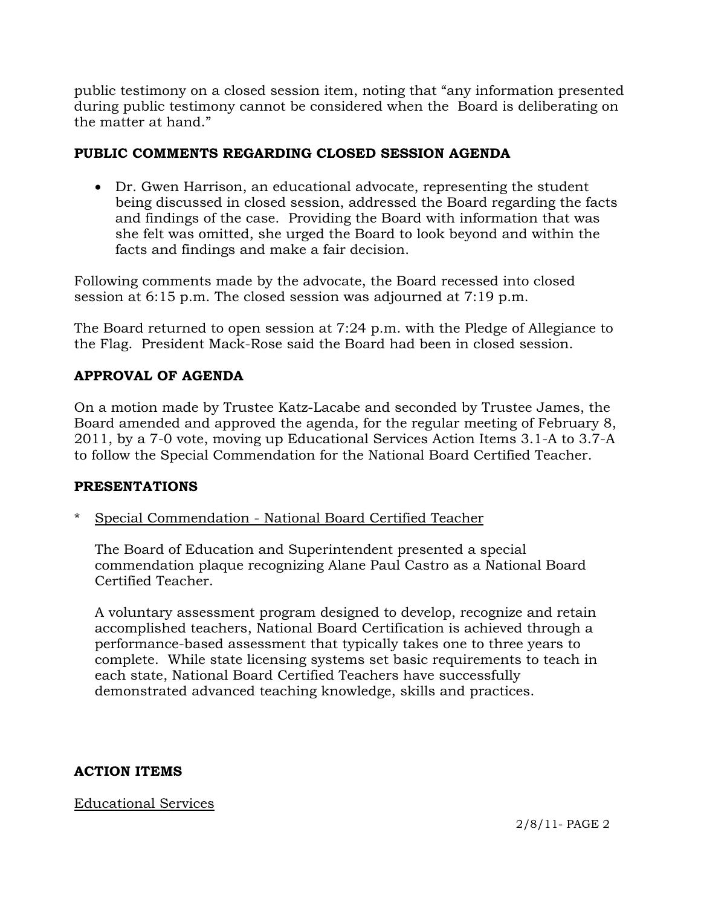public testimony on a closed session item, noting that "any information presented during public testimony cannot be considered when the Board is deliberating on the matter at hand."

## **PUBLIC COMMENTS REGARDING CLOSED SESSION AGENDA**

 Dr. Gwen Harrison, an educational advocate, representing the student being discussed in closed session, addressed the Board regarding the facts and findings of the case. Providing the Board with information that was she felt was omitted, she urged the Board to look beyond and within the facts and findings and make a fair decision.

Following comments made by the advocate, the Board recessed into closed session at 6:15 p.m. The closed session was adjourned at 7:19 p.m.

The Board returned to open session at 7:24 p.m. with the Pledge of Allegiance to the Flag. President Mack-Rose said the Board had been in closed session.

# **APPROVAL OF AGENDA**

On a motion made by Trustee Katz-Lacabe and seconded by Trustee James, the Board amended and approved the agenda, for the regular meeting of February 8, 2011, by a 7-0 vote, moving up Educational Services Action Items 3.1-A to 3.7-A to follow the Special Commendation for the National Board Certified Teacher.

## **PRESENTATIONS**

\* Special Commendation - National Board Certified Teacher

 The Board of Education and Superintendent presented a special commendation plaque recognizing Alane Paul Castro as a National Board Certified Teacher.

 A voluntary assessment program designed to develop, recognize and retain accomplished teachers, National Board Certification is achieved through a performance-based assessment that typically takes one to three years to complete. While state licensing systems set basic requirements to teach in each state, National Board Certified Teachers have successfully demonstrated advanced teaching knowledge, skills and practices.

# **ACTION ITEMS**

## Educational Services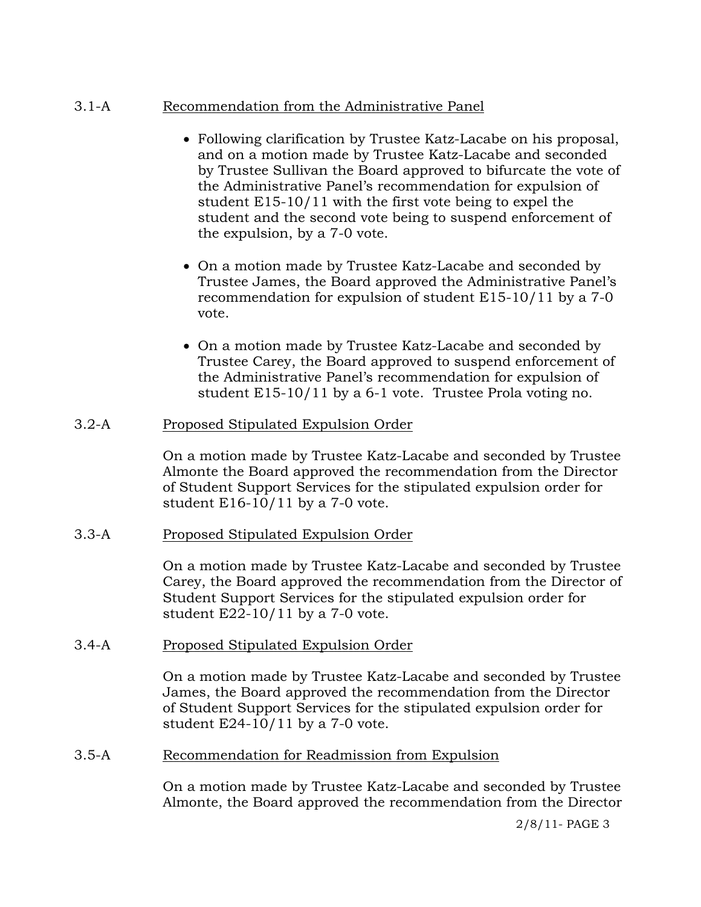## 3.1-A Recommendation from the Administrative Panel

- Following clarification by Trustee Katz-Lacabe on his proposal, and on a motion made by Trustee Katz-Lacabe and seconded by Trustee Sullivan the Board approved to bifurcate the vote of the Administrative Panel's recommendation for expulsion of student E15-10/11 with the first vote being to expel the student and the second vote being to suspend enforcement of the expulsion, by a 7-0 vote.
- On a motion made by Trustee Katz-Lacabe and seconded by Trustee James, the Board approved the Administrative Panel's recommendation for expulsion of student E15-10/11 by a 7-0 vote.
- On a motion made by Trustee Katz-Lacabe and seconded by Trustee Carey, the Board approved to suspend enforcement of the Administrative Panel's recommendation for expulsion of student E15-10/11 by a 6-1 vote. Trustee Prola voting no.

## 3.2-A Proposed Stipulated Expulsion Order

On a motion made by Trustee Katz-Lacabe and seconded by Trustee Almonte the Board approved the recommendation from the Director of Student Support Services for the stipulated expulsion order for student  $E16-10/11$  by a 7-0 vote.

## 3.3-A Proposed Stipulated Expulsion Order

On a motion made by Trustee Katz-Lacabe and seconded by Trustee Carey, the Board approved the recommendation from the Director of Student Support Services for the stipulated expulsion order for student E22-10/11 by a 7-0 vote.

## 3.4-A Proposed Stipulated Expulsion Order

On a motion made by Trustee Katz-Lacabe and seconded by Trustee James, the Board approved the recommendation from the Director of Student Support Services for the stipulated expulsion order for student E24-10/11 by a 7-0 vote.

## 3.5-A Recommendation for Readmission from Expulsion

On a motion made by Trustee Katz-Lacabe and seconded by Trustee Almonte, the Board approved the recommendation from the Director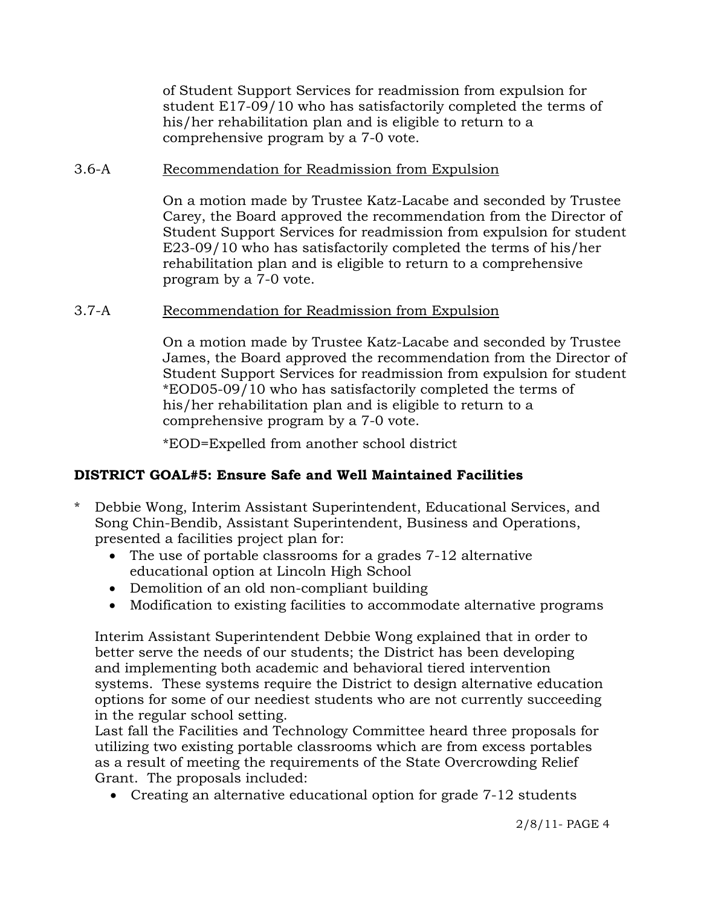of Student Support Services for readmission from expulsion for student E17-09/10 who has satisfactorily completed the terms of his/her rehabilitation plan and is eligible to return to a comprehensive program by a 7-0 vote.

### 3.6-A Recommendation for Readmission from Expulsion

On a motion made by Trustee Katz-Lacabe and seconded by Trustee Carey, the Board approved the recommendation from the Director of Student Support Services for readmission from expulsion for student E23-09/10 who has satisfactorily completed the terms of his/her rehabilitation plan and is eligible to return to a comprehensive program by a 7-0 vote.

#### 3.7-A Recommendation for Readmission from Expulsion

On a motion made by Trustee Katz-Lacabe and seconded by Trustee James, the Board approved the recommendation from the Director of Student Support Services for readmission from expulsion for student \*EOD05-09/10 who has satisfactorily completed the terms of his/her rehabilitation plan and is eligible to return to a comprehensive program by a 7-0 vote.

\*EOD=Expelled from another school district

## **DISTRICT GOAL#5: Ensure Safe and Well Maintained Facilities**

- \* Debbie Wong, Interim Assistant Superintendent, Educational Services, and Song Chin-Bendib, Assistant Superintendent, Business and Operations, presented a facilities project plan for:
	- The use of portable classrooms for a grades 7-12 alternative educational option at Lincoln High School
	- Demolition of an old non-compliant building
	- Modification to existing facilities to accommodate alternative programs

 Interim Assistant Superintendent Debbie Wong explained that in order to better serve the needs of our students; the District has been developing and implementing both academic and behavioral tiered intervention systems. These systems require the District to design alternative education options for some of our neediest students who are not currently succeeding in the regular school setting.

 Last fall the Facilities and Technology Committee heard three proposals for utilizing two existing portable classrooms which are from excess portables as a result of meeting the requirements of the State Overcrowding Relief Grant. The proposals included:

Creating an alternative educational option for grade 7-12 students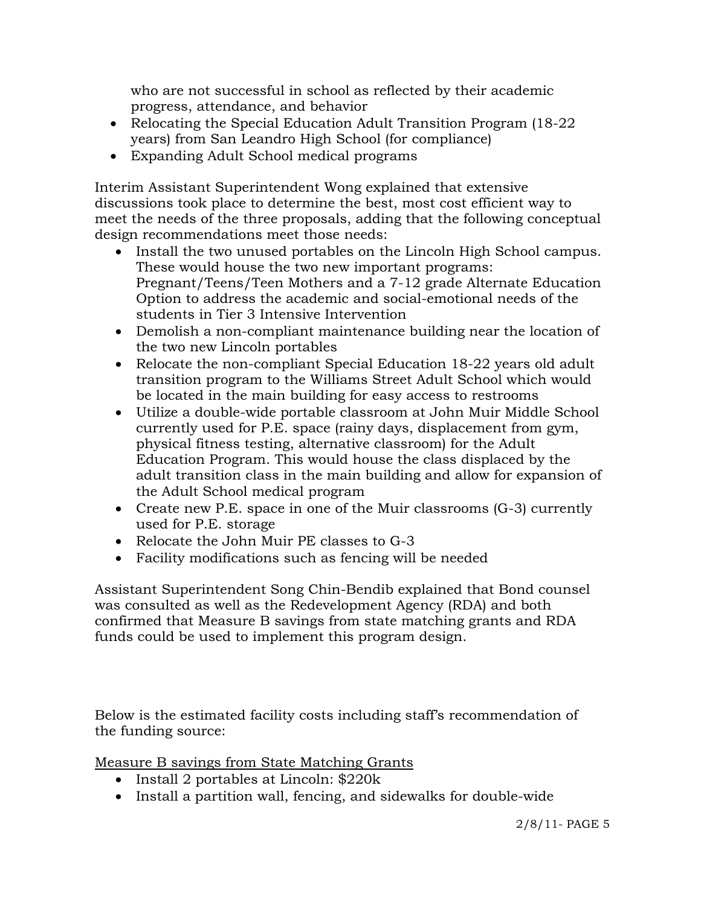who are not successful in school as reflected by their academic progress, attendance, and behavior

- Relocating the Special Education Adult Transition Program (18-22) years) from San Leandro High School (for compliance)
- Expanding Adult School medical programs

 Interim Assistant Superintendent Wong explained that extensive discussions took place to determine the best, most cost efficient way to meet the needs of the three proposals, adding that the following conceptual design recommendations meet those needs:

- Install the two unused portables on the Lincoln High School campus. These would house the two new important programs: Pregnant/Teens/Teen Mothers and a 7-12 grade Alternate Education Option to address the academic and social-emotional needs of the students in Tier 3 Intensive Intervention
- Demolish a non-compliant maintenance building near the location of the two new Lincoln portables
- Relocate the non-compliant Special Education 18-22 years old adult transition program to the Williams Street Adult School which would be located in the main building for easy access to restrooms
- Utilize a double-wide portable classroom at John Muir Middle School currently used for P.E. space (rainy days, displacement from gym, physical fitness testing, alternative classroom) for the Adult Education Program. This would house the class displaced by the adult transition class in the main building and allow for expansion of the Adult School medical program
- Create new P.E. space in one of the Muir classrooms (G-3) currently used for P.E. storage
- Relocate the John Muir PE classes to G-3
- Facility modifications such as fencing will be needed

Assistant Superintendent Song Chin-Bendib explained that Bond counsel was consulted as well as the Redevelopment Agency (RDA) and both confirmed that Measure B savings from state matching grants and RDA funds could be used to implement this program design.

Below is the estimated facility costs including staff's recommendation of the funding source:

Measure B savings from State Matching Grants

- Install 2 portables at Lincoln: \$220k
- Install a partition wall, fencing, and sidewalks for double-wide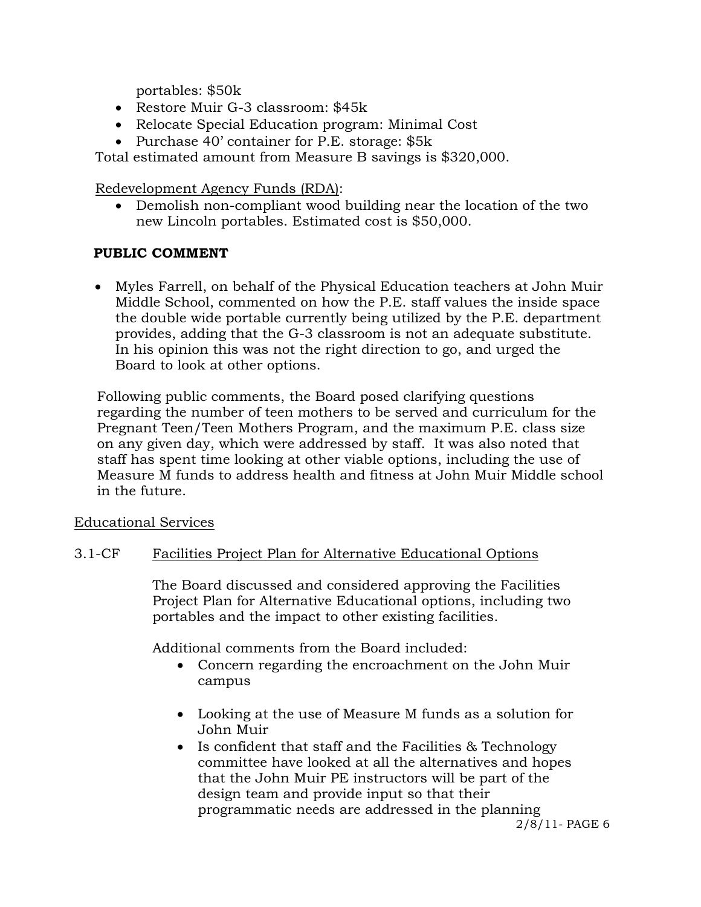portables: \$50k

- Restore Muir G-3 classroom: \$45k
- Relocate Special Education program: Minimal Cost
- Purchase 40' container for P.E. storage: \$5k

Total estimated amount from Measure B savings is \$320,000.

Redevelopment Agency Funds (RDA):

 Demolish non-compliant wood building near the location of the two new Lincoln portables. Estimated cost is \$50,000.

# **PUBLIC COMMENT**

 Myles Farrell, on behalf of the Physical Education teachers at John Muir Middle School, commented on how the P.E. staff values the inside space the double wide portable currently being utilized by the P.E. department provides, adding that the G-3 classroom is not an adequate substitute. In his opinion this was not the right direction to go, and urged the Board to look at other options.

 Following public comments, the Board posed clarifying questions regarding the number of teen mothers to be served and curriculum for the Pregnant Teen/Teen Mothers Program, and the maximum P.E. class size on any given day, which were addressed by staff. It was also noted that staff has spent time looking at other viable options, including the use of Measure M funds to address health and fitness at John Muir Middle school in the future.

Educational Services

# 3.1-CF Facilities Project Plan for Alternative Educational Options

The Board discussed and considered approving the Facilities Project Plan for Alternative Educational options, including two portables and the impact to other existing facilities.

Additional comments from the Board included:

- Concern regarding the encroachment on the John Muir campus
- Looking at the use of Measure M funds as a solution for John Muir
- 2/8/11- PAGE 6 • Is confident that staff and the Facilities & Technology committee have looked at all the alternatives and hopes that the John Muir PE instructors will be part of the design team and provide input so that their programmatic needs are addressed in the planning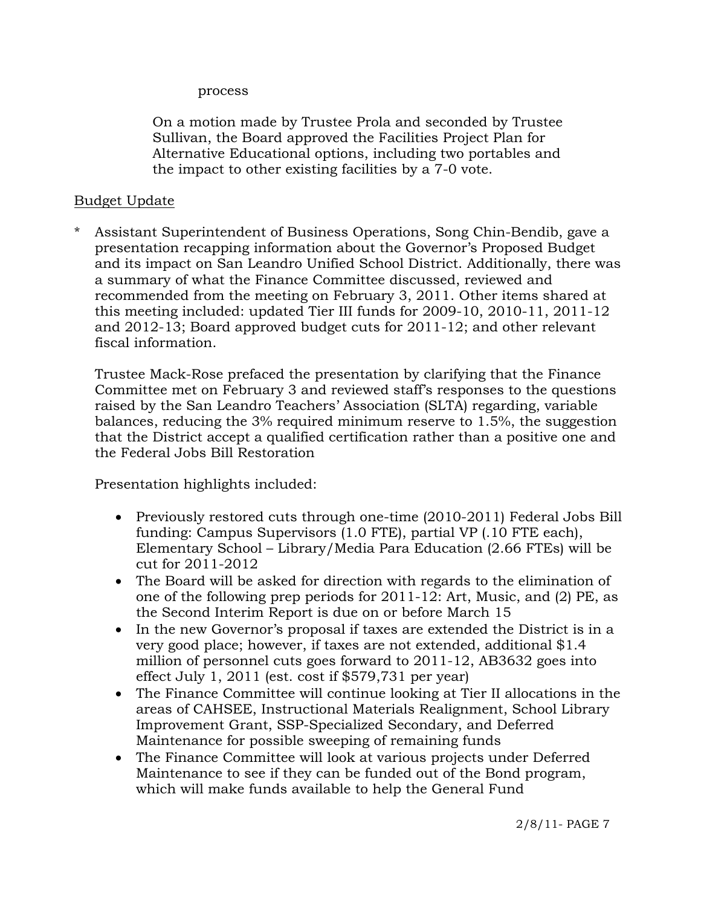#### process

On a motion made by Trustee Prola and seconded by Trustee Sullivan, the Board approved the Facilities Project Plan for Alternative Educational options, including two portables and the impact to other existing facilities by a 7-0 vote.

#### Budget Update

Assistant Superintendent of Business Operations, Song Chin-Bendib, gave a presentation recapping information about the Governor's Proposed Budget and its impact on San Leandro Unified School District. Additionally, there was a summary of what the Finance Committee discussed, reviewed and recommended from the meeting on February 3, 2011. Other items shared at this meeting included: updated Tier III funds for 2009-10, 2010-11, 2011-12 and 2012-13; Board approved budget cuts for 2011-12; and other relevant fiscal information.

 Trustee Mack-Rose prefaced the presentation by clarifying that the Finance Committee met on February 3 and reviewed staff's responses to the questions raised by the San Leandro Teachers' Association (SLTA) regarding, variable balances, reducing the 3% required minimum reserve to 1.5%, the suggestion that the District accept a qualified certification rather than a positive one and the Federal Jobs Bill Restoration

Presentation highlights included:

- Previously restored cuts through one-time (2010-2011) Federal Jobs Bill funding: Campus Supervisors (1.0 FTE), partial VP (.10 FTE each), Elementary School – Library/Media Para Education (2.66 FTEs) will be cut for 2011-2012
- The Board will be asked for direction with regards to the elimination of one of the following prep periods for 2011-12: Art, Music, and (2) PE, as the Second Interim Report is due on or before March 15
- In the new Governor's proposal if taxes are extended the District is in a very good place; however, if taxes are not extended, additional \$1.4 million of personnel cuts goes forward to 2011-12, AB3632 goes into effect July 1, 2011 (est. cost if \$579,731 per year)
- The Finance Committee will continue looking at Tier II allocations in the areas of CAHSEE, Instructional Materials Realignment, School Library Improvement Grant, SSP-Specialized Secondary, and Deferred Maintenance for possible sweeping of remaining funds
- The Finance Committee will look at various projects under Deferred Maintenance to see if they can be funded out of the Bond program, which will make funds available to help the General Fund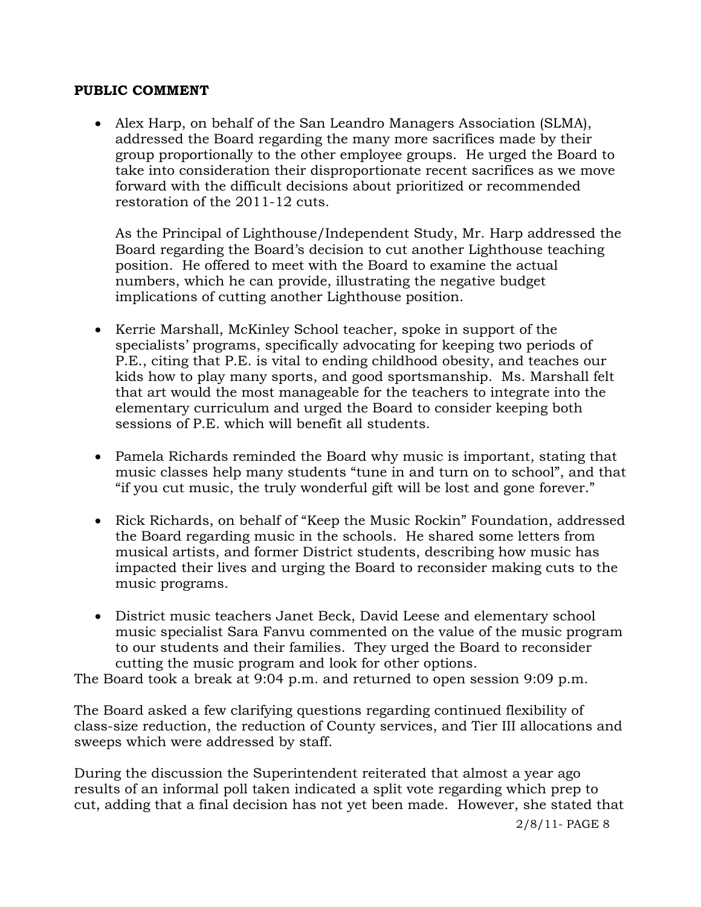#### **PUBLIC COMMENT**

 Alex Harp, on behalf of the San Leandro Managers Association (SLMA), addressed the Board regarding the many more sacrifices made by their group proportionally to the other employee groups. He urged the Board to take into consideration their disproportionate recent sacrifices as we move forward with the difficult decisions about prioritized or recommended restoration of the 2011-12 cuts.

 As the Principal of Lighthouse/Independent Study, Mr. Harp addressed the Board regarding the Board's decision to cut another Lighthouse teaching position. He offered to meet with the Board to examine the actual numbers, which he can provide, illustrating the negative budget implications of cutting another Lighthouse position.

- Kerrie Marshall, McKinley School teacher, spoke in support of the specialists' programs, specifically advocating for keeping two periods of P.E., citing that P.E. is vital to ending childhood obesity, and teaches our kids how to play many sports, and good sportsmanship. Ms. Marshall felt that art would the most manageable for the teachers to integrate into the elementary curriculum and urged the Board to consider keeping both sessions of P.E. which will benefit all students.
- Pamela Richards reminded the Board why music is important, stating that music classes help many students "tune in and turn on to school", and that "if you cut music, the truly wonderful gift will be lost and gone forever."
- Rick Richards, on behalf of "Keep the Music Rockin" Foundation, addressed the Board regarding music in the schools. He shared some letters from musical artists, and former District students, describing how music has impacted their lives and urging the Board to reconsider making cuts to the music programs.
- District music teachers Janet Beck, David Leese and elementary school music specialist Sara Fanvu commented on the value of the music program to our students and their families. They urged the Board to reconsider cutting the music program and look for other options.

The Board took a break at 9:04 p.m. and returned to open session 9:09 p.m.

The Board asked a few clarifying questions regarding continued flexibility of class-size reduction, the reduction of County services, and Tier III allocations and sweeps which were addressed by staff.

During the discussion the Superintendent reiterated that almost a year ago results of an informal poll taken indicated a split vote regarding which prep to cut, adding that a final decision has not yet been made. However, she stated that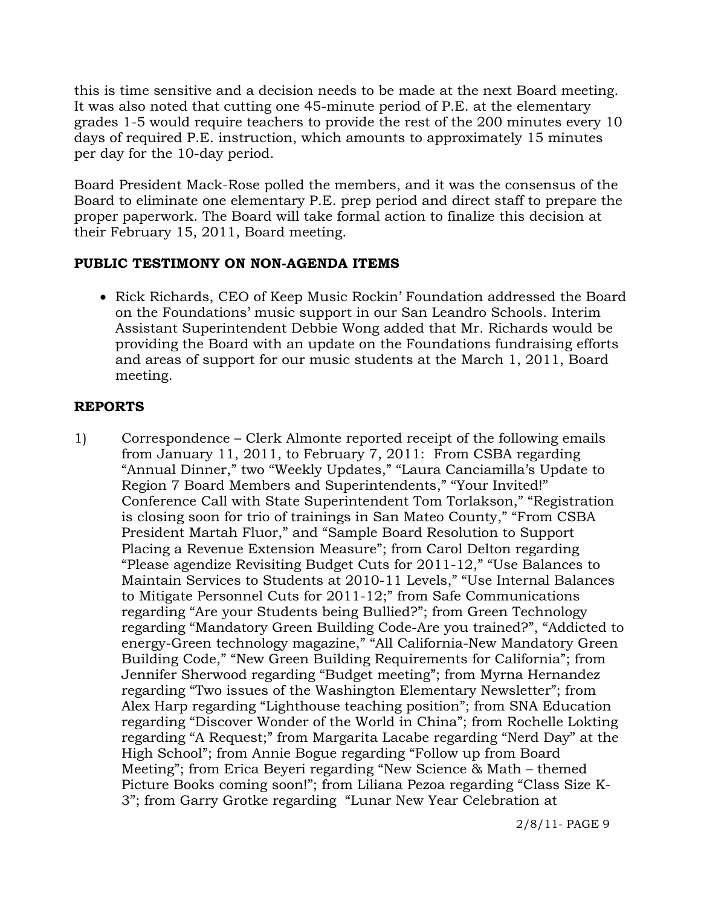this is time sensitive and a decision needs to be made at the next Board meeting. It was also noted that cutting one 45-minute period of P.E. at the elementary grades 1-5 would require teachers to provide the rest of the 200 minutes every 10 days of required P.E. instruction, which amounts to approximately 15 minutes per day for the 10-day period.

Board President Mack-Rose polled the members, and it was the consensus of the Board to eliminate one elementary P.E. prep period and direct staff to prepare the proper paperwork. The Board will take formal action to finalize this decision at their February 15, 2011, Board meeting.

## **PUBLIC TESTIMONY ON NON-AGENDA ITEMS**

• Rick Richards, CEO of Keep Music Rockin' Foundation addressed the Board on the Foundations' music support in our San Leandro Schools. Interim Assistant Superintendent Debbie Wong added that Mr. Richards would be providing the Board with an update on the Foundations fundraising efforts and areas of support for our music students at the March 1, 2011, Board meeting.

## **REPORTS**

1) Correspondence – Clerk Almonte reported receipt of the following emails from January 11, 2011, to February 7, 2011: From CSBA regarding "Annual Dinner," two "Weekly Updates," "Laura Canciamilla's Update to Region 7 Board Members and Superintendents," "Your Invited!" Conference Call with State Superintendent Tom Torlakson," "Registration is closing soon for trio of trainings in San Mateo County," "From CSBA President Martah Fluor," and "Sample Board Resolution to Support Placing a Revenue Extension Measure"; from Carol Delton regarding "Please agendize Revisiting Budget Cuts for 2011-12," "Use Balances to Maintain Services to Students at 2010-11 Levels," "Use Internal Balances to Mitigate Personnel Cuts for 2011-12;" from Safe Communications regarding "Are your Students being Bullied?"; from Green Technology regarding "Mandatory Green Building Code-Are you trained?", "Addicted to energy-Green technology magazine," "All California-New Mandatory Green Building Code," "New Green Building Requirements for California"; from Jennifer Sherwood regarding "Budget meeting"; from Myrna Hernandez regarding "Two issues of the Washington Elementary Newsletter"; from Alex Harp regarding "Lighthouse teaching position"; from SNA Education regarding "Discover Wonder of the World in China"; from Rochelle Lokting regarding "A Request;" from Margarita Lacabe regarding "Nerd Day" at the High School"; from Annie Bogue regarding "Follow up from Board Meeting"; from Erica Beyeri regarding "New Science & Math – themed Picture Books coming soon!"; from Liliana Pezoa regarding "Class Size K-3"; from Garry Grotke regarding "Lunar New Year Celebration at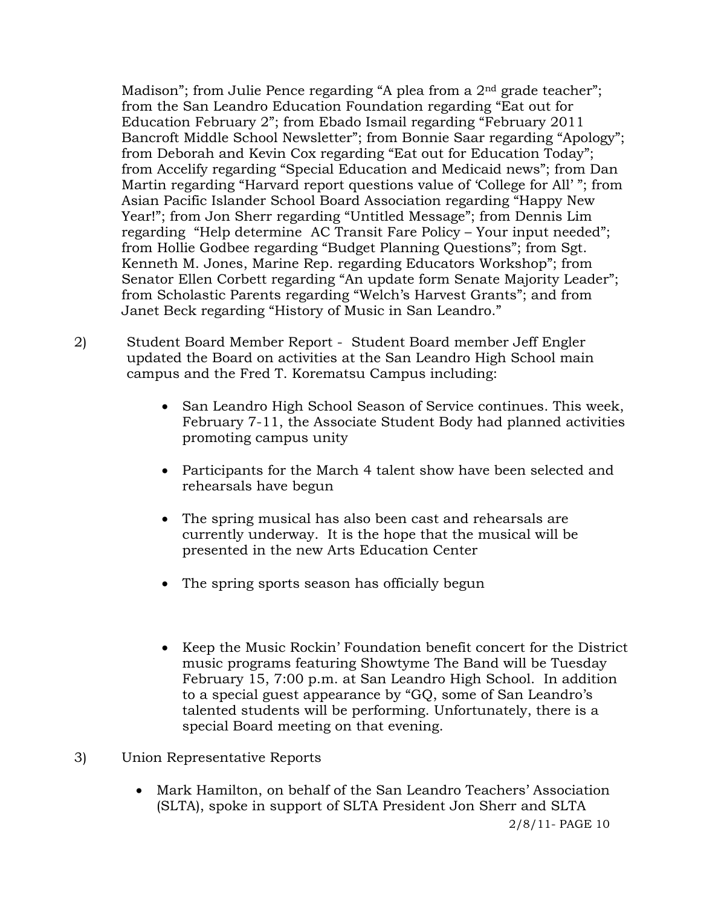Madison"; from Julie Pence regarding "A plea from a 2<sup>nd</sup> grade teacher"; from the San Leandro Education Foundation regarding "Eat out for Education February 2"; from Ebado Ismail regarding "February 2011 Bancroft Middle School Newsletter"; from Bonnie Saar regarding "Apology"; from Deborah and Kevin Cox regarding "Eat out for Education Today"; from Accelify regarding "Special Education and Medicaid news"; from Dan Martin regarding "Harvard report questions value of 'College for All' "; from Asian Pacific Islander School Board Association regarding "Happy New Year!"; from Jon Sherr regarding "Untitled Message"; from Dennis Lim regarding "Help determine AC Transit Fare Policy – Your input needed"; from Hollie Godbee regarding "Budget Planning Questions"; from Sgt. Kenneth M. Jones, Marine Rep. regarding Educators Workshop"; from Senator Ellen Corbett regarding "An update form Senate Majority Leader"; from Scholastic Parents regarding "Welch's Harvest Grants"; and from Janet Beck regarding "History of Music in San Leandro."

- 2) Student Board Member Report Student Board member Jeff Engler updated the Board on activities at the San Leandro High School main campus and the Fred T. Korematsu Campus including:
	- San Leandro High School Season of Service continues. This week, February 7-11, the Associate Student Body had planned activities promoting campus unity
	- Participants for the March 4 talent show have been selected and rehearsals have begun
	- The spring musical has also been cast and rehearsals are currently underway. It is the hope that the musical will be presented in the new Arts Education Center
	- The spring sports season has officially begun
	- Keep the Music Rockin' Foundation benefit concert for the District music programs featuring Showtyme The Band will be Tuesday February 15, 7:00 p.m. at San Leandro High School. In addition to a special guest appearance by "GQ, some of San Leandro's talented students will be performing. Unfortunately, there is a special Board meeting on that evening.
- 3) Union Representative Reports
	- Mark Hamilton, on behalf of the San Leandro Teachers' Association (SLTA), spoke in support of SLTA President Jon Sherr and SLTA

2/8/11- PAGE 10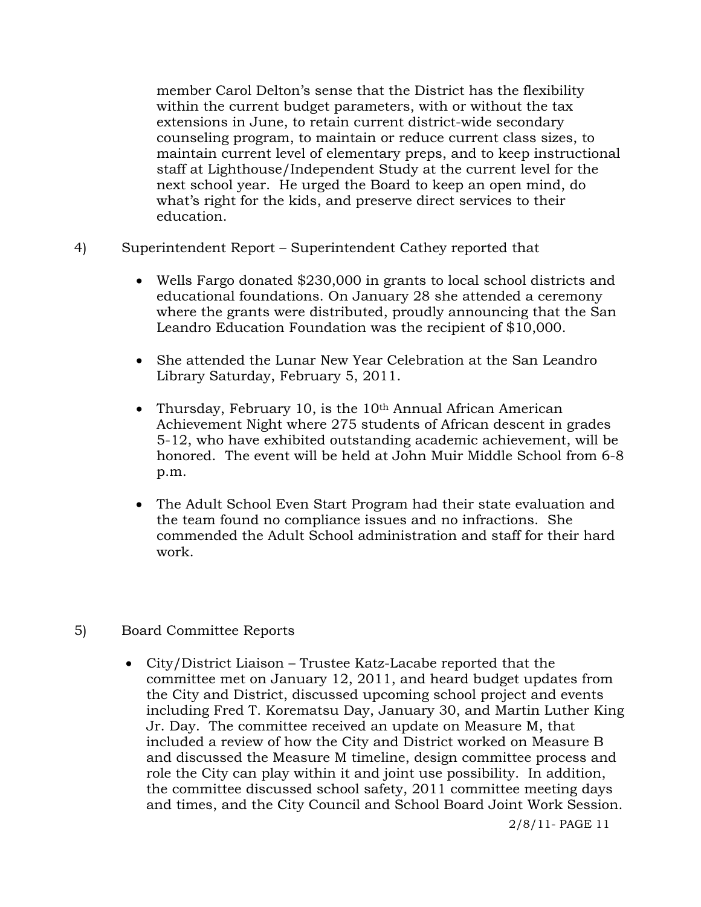member Carol Delton's sense that the District has the flexibility within the current budget parameters, with or without the tax extensions in June, to retain current district-wide secondary counseling program, to maintain or reduce current class sizes, to maintain current level of elementary preps, and to keep instructional staff at Lighthouse/Independent Study at the current level for the next school year. He urged the Board to keep an open mind, do what's right for the kids, and preserve direct services to their education.

- 4) Superintendent Report Superintendent Cathey reported that
	- Wells Fargo donated \$230,000 in grants to local school districts and educational foundations. On January 28 she attended a ceremony where the grants were distributed, proudly announcing that the San Leandro Education Foundation was the recipient of \$10,000.
	- She attended the Lunar New Year Celebration at the San Leandro Library Saturday, February 5, 2011.
	- Thursday, February 10, is the  $10<sup>th</sup>$  Annual African American Achievement Night where 275 students of African descent in grades 5-12, who have exhibited outstanding academic achievement, will be honored. The event will be held at John Muir Middle School from 6-8 p.m.
	- The Adult School Even Start Program had their state evaluation and the team found no compliance issues and no infractions. She commended the Adult School administration and staff for their hard work.
- 5) Board Committee Reports
	- City/District Liaison Trustee Katz-Lacabe reported that the committee met on January 12, 2011, and heard budget updates from the City and District, discussed upcoming school project and events including Fred T. Korematsu Day, January 30, and Martin Luther King Jr. Day. The committee received an update on Measure M, that included a review of how the City and District worked on Measure B and discussed the Measure M timeline, design committee process and role the City can play within it and joint use possibility. In addition, the committee discussed school safety, 2011 committee meeting days and times, and the City Council and School Board Joint Work Session.

2/8/11- PAGE 11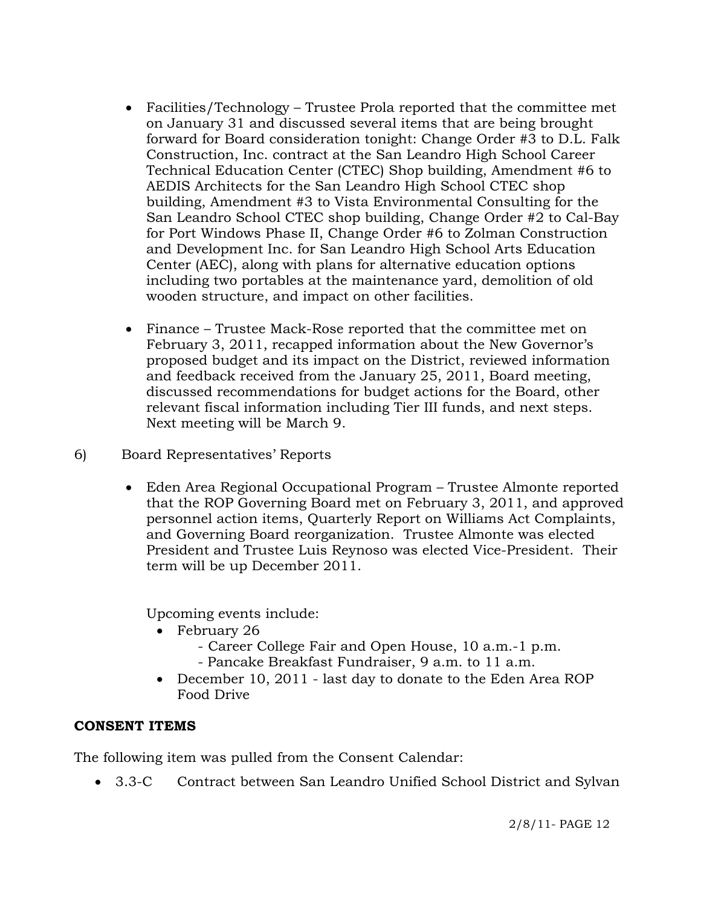- Facilities/Technology Trustee Prola reported that the committee met on January 31 and discussed several items that are being brought forward for Board consideration tonight: Change Order #3 to D.L. Falk Construction, Inc. contract at the San Leandro High School Career Technical Education Center (CTEC) Shop building, Amendment #6 to AEDIS Architects for the San Leandro High School CTEC shop building, Amendment #3 to Vista Environmental Consulting for the San Leandro School CTEC shop building, Change Order #2 to Cal-Bay for Port Windows Phase II, Change Order #6 to Zolman Construction and Development Inc. for San Leandro High School Arts Education Center (AEC), along with plans for alternative education options including two portables at the maintenance yard, demolition of old wooden structure, and impact on other facilities.
- Finance Trustee Mack-Rose reported that the committee met on February 3, 2011, recapped information about the New Governor's proposed budget and its impact on the District, reviewed information and feedback received from the January 25, 2011, Board meeting, discussed recommendations for budget actions for the Board, other relevant fiscal information including Tier III funds, and next steps. Next meeting will be March 9.

# 6) Board Representatives' Reports

 Eden Area Regional Occupational Program – Trustee Almonte reported that the ROP Governing Board met on February 3, 2011, and approved personnel action items, Quarterly Report on Williams Act Complaints, and Governing Board reorganization. Trustee Almonte was elected President and Trustee Luis Reynoso was elected Vice-President. Their term will be up December 2011.

Upcoming events include:

- February 26
	- Career College Fair and Open House, 10 a.m.-1 p.m.
	- Pancake Breakfast Fundraiser, 9 a.m. to 11 a.m.
- December 10, 2011 last day to donate to the Eden Area ROP Food Drive

## **CONSENT ITEMS**

The following item was pulled from the Consent Calendar:

3.3-C Contract between San Leandro Unified School District and Sylvan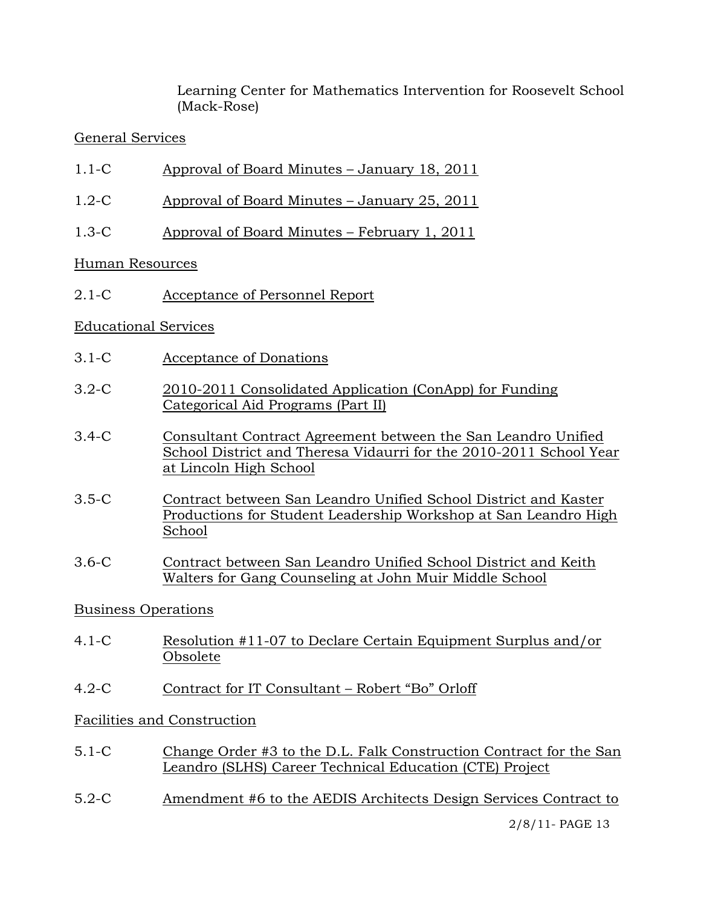Learning Center for Mathematics Intervention for Roosevelt School (Mack-Rose)

# General Services

- 1.1-C Approval of Board Minutes January 18, 2011
- 1.2-C Approval of Board Minutes January 25, 2011
- 1.3-C Approval of Board Minutes February 1, 2011

## Human Resources

2.1-C Acceptance of Personnel Report

## Educational Services

- 3.1-C Acceptance of Donations
- 3.2-C 2010-2011 Consolidated Application (ConApp) for Funding Categorical Aid Programs (Part II)
- 3.4-C Consultant Contract Agreement between the San Leandro Unified School District and Theresa Vidaurri for the 2010-2011 School Year at Lincoln High School
- 3.5-C Contract between San Leandro Unified School District and Kaster Productions for Student Leadership Workshop at San Leandro High School
- 3.6-C Contract between San Leandro Unified School District and Keith Walters for Gang Counseling at John Muir Middle School

# Business Operations

- 4.1-C Resolution #11-07 to Declare Certain Equipment Surplus and/or Obsolete
- 4.2-C Contract for IT Consultant Robert "Bo" Orloff

## Facilities and Construction

- 5.1-C Change Order #3 to the D.L. Falk Construction Contract for the San Leandro (SLHS) Career Technical Education (CTE) Project
- 5.2-C Amendment #6 to the AEDIS Architects Design Services Contract to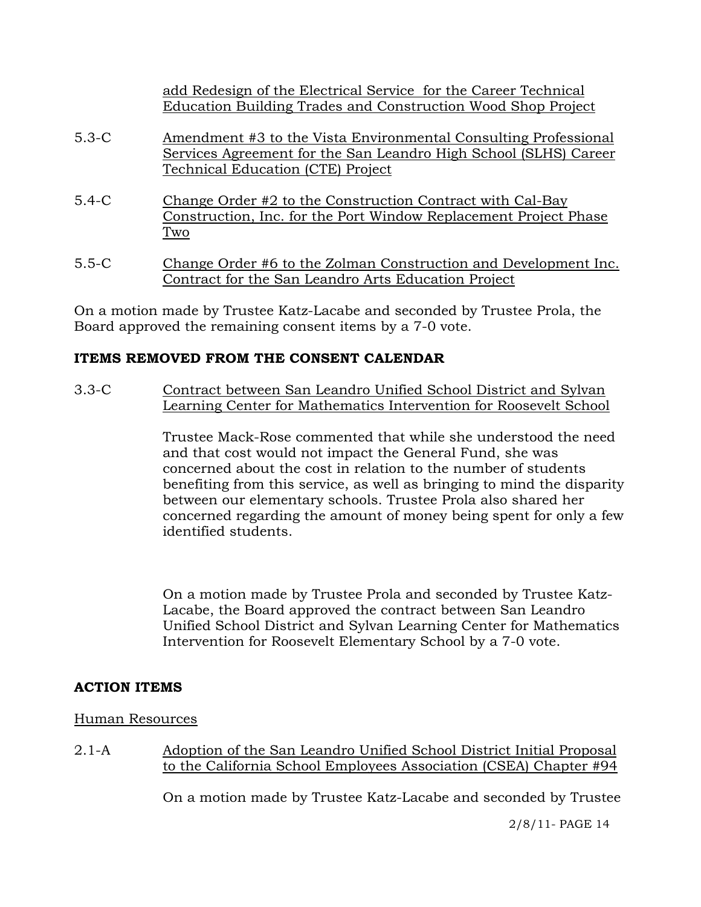|                  | add Redesign of the Electrical Service for the Career Technical                                                               |
|------------------|-------------------------------------------------------------------------------------------------------------------------------|
|                  | Education Building Trades and Construction Wood Shop Project                                                                  |
| $5.3-C$          | Amendment #3 to the Vista Environmental Consulting Professional                                                               |
|                  | Services Agreement for the San Leandro High School (SLHS) Career<br>Technical Education (CTE) Project                         |
| $5.4 - C$<br>Two | Change Order #2 to the Construction Contract with Cal-Bay<br>Construction, Inc. for the Port Window Replacement Project Phase |

5.5-C Change Order #6 to the Zolman Construction and Development Inc. Contract for the San Leandro Arts Education Project

On a motion made by Trustee Katz-Lacabe and seconded by Trustee Prola, the Board approved the remaining consent items by a 7-0 vote.

## **ITEMS REMOVED FROM THE CONSENT CALENDAR**

3.3-C Contract between San Leandro Unified School District and Sylvan Learning Center for Mathematics Intervention for Roosevelt School

> Trustee Mack-Rose commented that while she understood the need and that cost would not impact the General Fund, she was concerned about the cost in relation to the number of students benefiting from this service, as well as bringing to mind the disparity between our elementary schools. Trustee Prola also shared her concerned regarding the amount of money being spent for only a few identified students.

On a motion made by Trustee Prola and seconded by Trustee Katz-Lacabe, the Board approved the contract between San Leandro Unified School District and Sylvan Learning Center for Mathematics Intervention for Roosevelt Elementary School by a 7-0 vote.

## **ACTION ITEMS**

## Human Resources

2.1-A Adoption of the San Leandro Unified School District Initial Proposal to the California School Employees Association (CSEA) Chapter #94

On a motion made by Trustee Katz-Lacabe and seconded by Trustee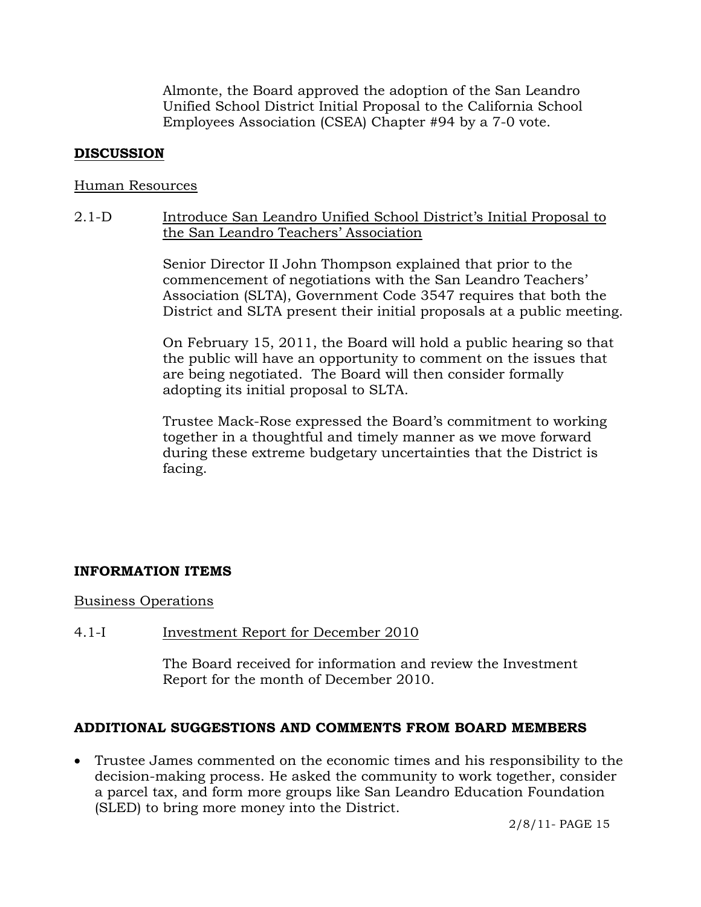Almonte, the Board approved the adoption of the San Leandro Unified School District Initial Proposal to the California School Employees Association (CSEA) Chapter #94 by a 7-0 vote.

## **DISCUSSION**

### Human Resources

## 2.1-D Introduce San Leandro Unified School District's Initial Proposal to the San Leandro Teachers' Association

Senior Director II John Thompson explained that prior to the commencement of negotiations with the San Leandro Teachers' Association (SLTA), Government Code 3547 requires that both the District and SLTA present their initial proposals at a public meeting.

On February 15, 2011, the Board will hold a public hearing so that the public will have an opportunity to comment on the issues that are being negotiated. The Board will then consider formally adopting its initial proposal to SLTA.

Trustee Mack-Rose expressed the Board's commitment to working together in a thoughtful and timely manner as we move forward during these extreme budgetary uncertainties that the District is facing.

## **INFORMATION ITEMS**

## Business Operations

## 4.1-I Investment Report for December 2010

The Board received for information and review the Investment Report for the month of December 2010.

## **ADDITIONAL SUGGESTIONS AND COMMENTS FROM BOARD MEMBERS**

 Trustee James commented on the economic times and his responsibility to the decision-making process. He asked the community to work together, consider a parcel tax, and form more groups like San Leandro Education Foundation (SLED) to bring more money into the District.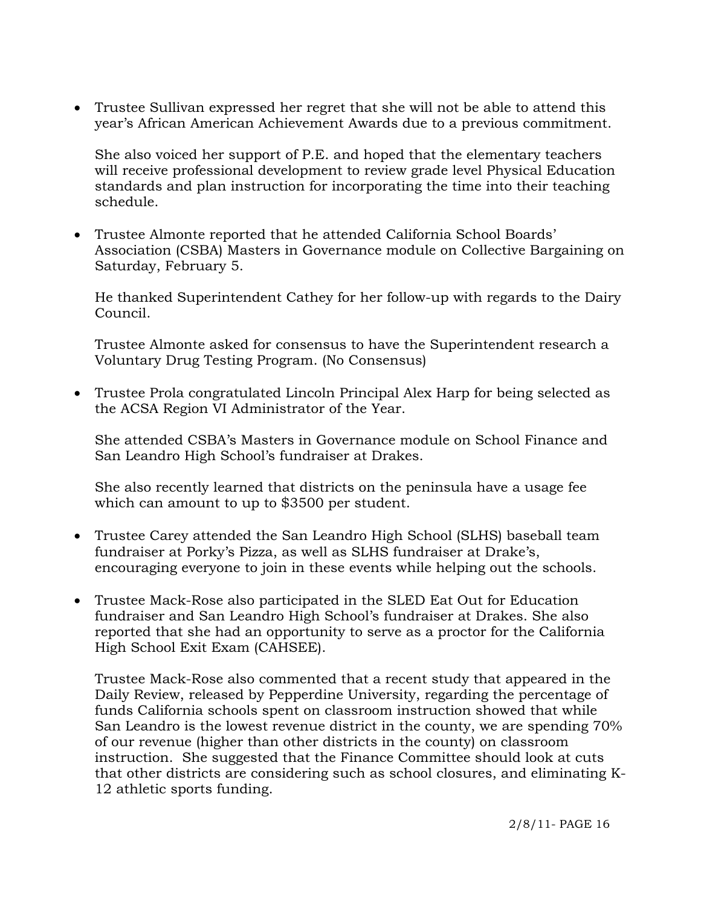Trustee Sullivan expressed her regret that she will not be able to attend this year's African American Achievement Awards due to a previous commitment.

She also voiced her support of P.E. and hoped that the elementary teachers will receive professional development to review grade level Physical Education standards and plan instruction for incorporating the time into their teaching schedule.

 Trustee Almonte reported that he attended California School Boards' Association (CSBA) Masters in Governance module on Collective Bargaining on Saturday, February 5.

He thanked Superintendent Cathey for her follow-up with regards to the Dairy Council.

Trustee Almonte asked for consensus to have the Superintendent research a Voluntary Drug Testing Program. (No Consensus)

 Trustee Prola congratulated Lincoln Principal Alex Harp for being selected as the ACSA Region VI Administrator of the Year.

She attended CSBA's Masters in Governance module on School Finance and San Leandro High School's fundraiser at Drakes.

She also recently learned that districts on the peninsula have a usage fee which can amount to up to \$3500 per student.

- Trustee Carey attended the San Leandro High School (SLHS) baseball team fundraiser at Porky's Pizza, as well as SLHS fundraiser at Drake's, encouraging everyone to join in these events while helping out the schools.
- Trustee Mack-Rose also participated in the SLED Eat Out for Education fundraiser and San Leandro High School's fundraiser at Drakes. She also reported that she had an opportunity to serve as a proctor for the California High School Exit Exam (CAHSEE).

Trustee Mack-Rose also commented that a recent study that appeared in the Daily Review, released by Pepperdine University, regarding the percentage of funds California schools spent on classroom instruction showed that while San Leandro is the lowest revenue district in the county, we are spending 70% of our revenue (higher than other districts in the county) on classroom instruction. She suggested that the Finance Committee should look at cuts that other districts are considering such as school closures, and eliminating K-12 athletic sports funding.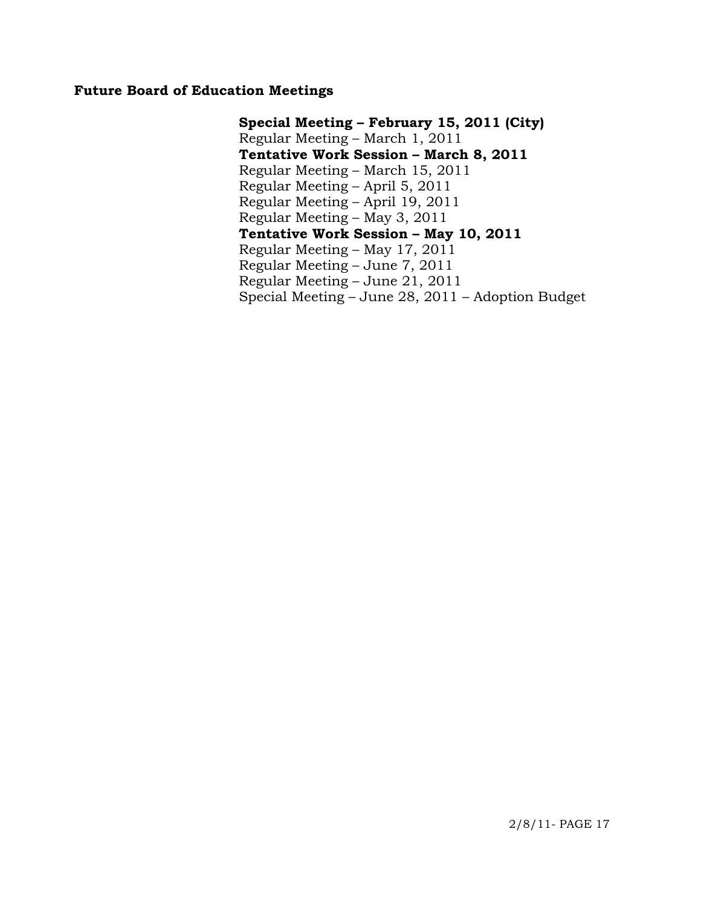## **Future Board of Education Meetings**

**Special Meeting – February 15, 2011 (City)**  Regular Meeting – March 1, 2011  **Tentative Work Session – March 8, 2011**  Regular Meeting – March 15, 2011 Regular Meeting – April 5, 2011 Regular Meeting – April 19, 2011 Regular Meeting – May 3, 2011  **Tentative Work Session – May 10, 2011**  Regular Meeting – May 17, 2011 Regular Meeting – June 7, 2011 Regular Meeting – June 21, 2011 Special Meeting – June 28, 2011 – Adoption Budget